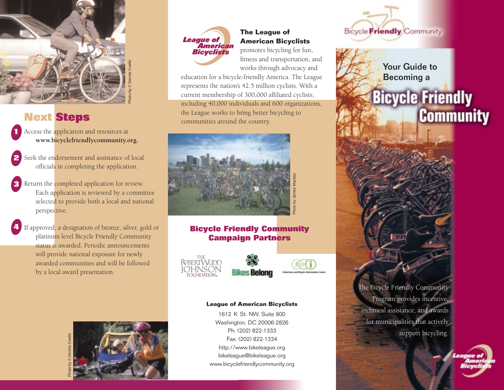

### **Next Steps**

Access the application and resources at **www.bicyclefriendlycommunity.org. 1**

- Seek the en<mark>d</mark>orsement and assistance of local officials in completing the application. **2**
- Return the completed application for review. Each application is reviewed by a committee selected to provide both a local and national perspective. **3**
- If approved, a designation of bronze, silver, gold or platinum level Bicycle Friendly Community status is awarded. Periodic announcementswill provide national exposure for newly awarded communities and will be followed by a local award presentation. **4**





### **The League of American Bicyclists**

promotes bicycling for fun, fitness and transportation, and works through advocacy and

education for a bicycle-friendly America. The League represents the nation's 42.5 million cyclists. With a current membership of 300,000 affiliated cyclists, including 40,000 individuals and 600 organizations, the League works to bring better bicycling to communities around the country.



#### **Bicycle Friendly Community Campaign Partners**





#### **League of American Bicyclists**

1612 K St. NW, Suite 800 Washington, DC 20006-2826 Ph: (202) 822-1333Fax: (202) 822-1334http://www.bikeleague.org bikeleague@bikeleague.org www.bicyclefriendlycommunity.org



Your Guide toBecoming a

## **Bicycle Friendly Community**



technical assistance, and awards for municipalities that actively support bicycling.